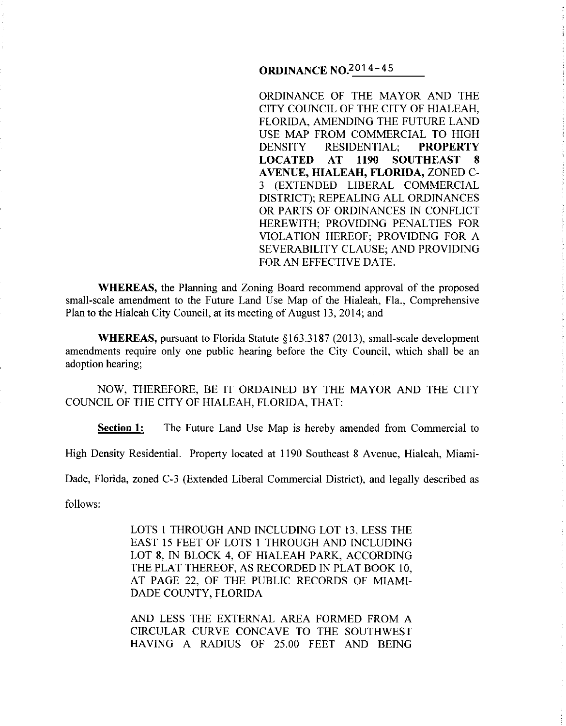# **ORDINANCE** N0.201 4-45

ORDINANCE OF THE MAYOR AND THE CITY COUNCIL OF THE CITY OF HIALEAH, FLORIDA, AMENDING THE FUTURE LAND USE MAP FROM COMMERCIAL TO HIGH DENSITY RESIDENTIAL; **PROPERTY LOCATED AT 1190 SOUTHEAST 8 A VENUE, HIALEAH, FLORIDA,** ZONED C-3 (EXTENDED LIBERAL COMMERCIAL DISTRICT); REPEALING ALL ORDINANCES OR PARTS OF ORDINANCES IN CONFLICT HEREWITH; PROVIDING PENALTIES FOR VIOLATION HEREOF; PROVIDING FOR A SEVERABILITY CLAUSE; AND PROVIDING FOR AN EFFECTIVE DATE.

**WHEREAS,** the Planning and Zoning Board recommend approval of the proposed small-scale amendment to the Future Land Use Map of the Hialeah, Fla., Comprehensive Plan to the Hialeah City Council, at its meeting of August 13, 2014; and

**WHEREAS,** pursuant to Florida Statute §163.3187 (2013), small-scale development amendments require only one public hearing before the City Council, which shall be an adoption hearing;

NOW, THEREFORE, BE IT ORDAINED BY THE MAYOR AND THE CITY COUNCIL OF THE CITY OF HIALEAH, FLORIDA, THAT:

**Section 1:** The Future Land Use Map is hereby amended from Commercial to

High Density Residential. Property located at 1190 Southeast 8 Avenue, Hialeah, Miami-

Dade, Florida, zoned C-3 (Extended Liberal Commercial District), and legally described as

follows:

LOTS I THROUGH AND INCLUDING LOT 13, LESS THE EAST 15 FEET OF LOTS I THROUGH AND INCLUDING LOT 8, IN BLOCK 4, OF HIALEAH PARK, ACCORDING THE PLAT THEREOF, AS RECORDED IN PLAT BOOK 10, AT PAGE 22, OF THE PUBLIC RECORDS OF MIAMI-DADE COUNTY, FLORIDA

AND LESS THE EXTERNAL AREA FORMED FROM A CIRCULAR CURVE CONCAVE TO THE SOUTHWEST HAVING A RADIUS OF 25.00 FEET AND BEING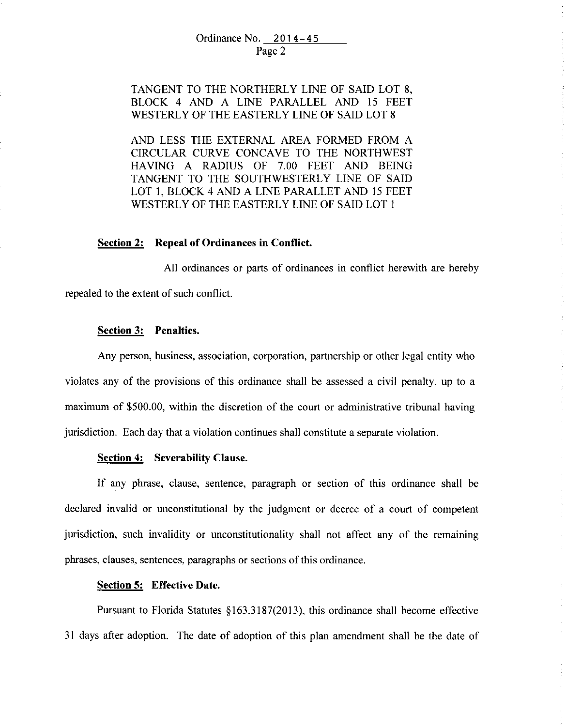# TANGENT TO THE NORTHERLY LINE OF SAID LOT 8, BLOCK 4 AND A LINE PARALLEL AND 15 FEET WESTERLY OF THE EASTERLY LINE OF SAID LOT 8

AND LESS THE EXTERNAL AREA FORMED FROM A CIRCULAR CURVE CONCAVE TO THE NORTHWEST HAVING A RADIUS OF 7.00 FEET AND BEING TANGENT TO THE SOUTHWESTERLY LINE OF SAID LOT I, BLOCK 4 AND A LINE PARALLET AND 15 FEET WESTERLY OF THE EASTERLY LINE OF SAID LOT I

### **Section 2: Repeal of Ordinances in Conflict.**

All ordinances or parts of ordinances in conflict herewith are hereby repealed to the extent of such conflict.

### **Section 3: Penalties.**

Any person, business, association, corporation, partnership or other legal entity who violates any of the provisions of this ordinance shall be assessed a civil penalty, up to a maximum of \$500.00, within the discretion of the court or administrative tribunal having jurisdiction. Each day that a violation continues shall constitute a separate violation.

#### **Section 4: Severability Clause.**

If any phrase, clause, sentence, paragraph or section of this ordinance shall be declared invalid or unconstitutional by the judgment or decree of a court of competent jurisdiction, such invalidity or unconstitutionality shall not affect any of the remaining phrases, clauses, sentences, paragraphs or sections of this ordinance.

### **Section 5: Effective Date.**

Pursuant to Florida Statutes §163.3187(2013), this ordinance shall become effective 31 days after adoption. The date of adoption of this plan amendment shall be the date of